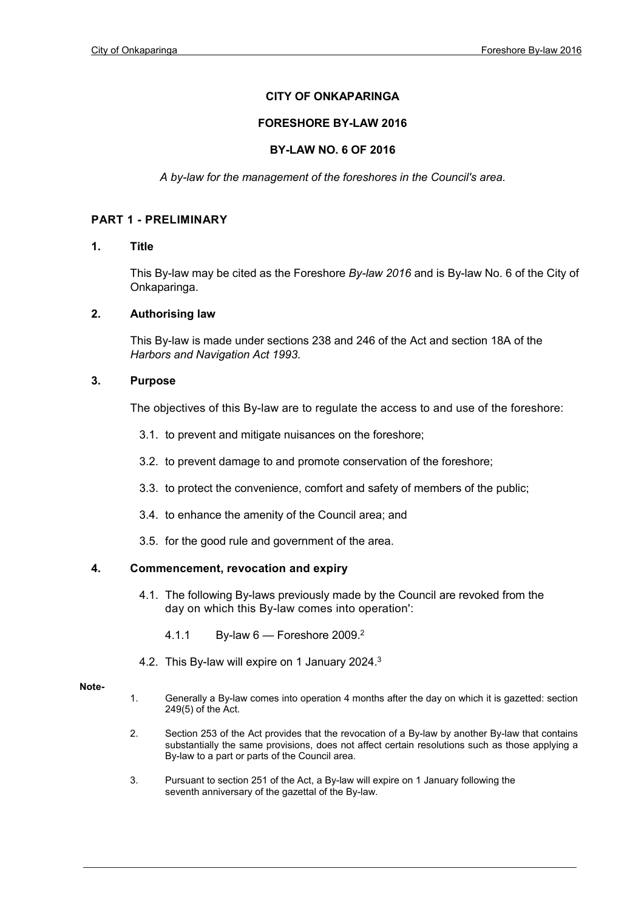# **CITY OF ONKAPARINGA**

### **FORESHORE BY-LAW 2016**

### **BY-LAW NO. 6 OF 2016**

*A by-law for the management of the foreshores in the Council's area.*

# **PART 1 - PRELIMINARY**

#### **1. Title**

This By-law may be cited as the Foreshore *By-law 2016* and is By-law No. 6 of the City of Onkaparinga.

## **2. Authorising law**

This By-law is made under sections 238 and 246 of the Act and section 18A of the *Harbors and Navigation Act 1993.*

### **3. Purpose**

The objectives of this By-law are to regulate the access to and use of the foreshore:

- 3.1. to prevent and mitigate nuisances on the foreshore;
- 3.2. to prevent damage to and promote conservation of the foreshore;
- 3.3. to protect the convenience, comfort and safety of members of the public;
- 3.4. to enhance the amenity of the Council area; and
- 3.5. for the good rule and government of the area.

# **4. Commencement, revocation and expiry**

- 4.1. The following By-laws previously made by the Council are revoked from the day on which this By-law comes into operation':
	- 4.1.1 By-law 6 Foreshore 2009.2
- 4.2. This By-law will expire on 1 January 2024.3

#### **Note-**

- 1. Generally a By-law comes into operation 4 months after the day on which it is gazetted: section 249(5) of the Act.
- 2. Section 253 of the Act provides that the revocation of a By-law by another By-law that contains substantially the same provisions, does not affect certain resolutions such as those applying a By-law to a part or parts of the Council area.
- 3. Pursuant to section 251 of the Act, a By-law will expire on 1 January following the seventh anniversary of the gazettal of the By-law.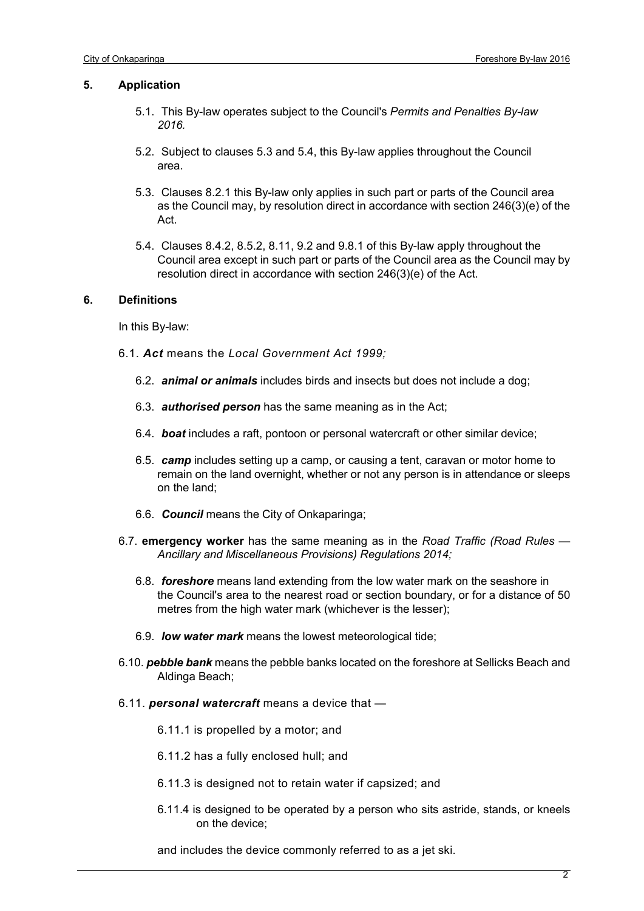#### **5. Application**

- 5.1. This By-law operates subject to the Council's *Permits and Penalties By-law 2016.*
- 5.2. Subject to clauses 5.3 and 5.4, this By-law applies throughout the Council area.
- 5.3. Clauses 8.2.1 this By-law only applies in such part or parts of the Council area as the Council may, by resolution direct in accordance with section 246(3)(e) of the Act.
- 5.4. Clauses 8.4.2, 8.5.2, 8.11, 9.2 and 9.8.1 of this By-law apply throughout the Council area except in such part or parts of the Council area as the Council may by resolution direct in accordance with section 246(3)(e) of the Act.

#### **6. Definitions**

In this By-law:

- 6.1. *Act* means the *Local Government Act 1999;*
	- 6.2. *animal or animals* includes birds and insects but does not include a dog;
	- 6.3. *authorised person* has the same meaning as in the Act;
	- 6.4. *boat* includes a raft, pontoon or personal watercraft or other similar device;
	- 6.5. *camp* includes setting up a camp, or causing a tent, caravan or motor home to remain on the land overnight, whether or not any person is in attendance or sleeps on the land;
	- 6.6. *Council* means the City of Onkaparinga;
- 6.7. **emergency worker** has the same meaning as in the *Road Traffic (Road Rules — Ancillary and Miscellaneous Provisions) Regulations 2014;*
	- 6.8. *foreshore* means land extending from the low water mark on the seashore in the Council's area to the nearest road or section boundary, or for a distance of 50 metres from the high water mark (whichever is the lesser);
	- 6.9. *low water mark* means the lowest meteorological tide;
- 6.10. *pebble bank* means the pebble banks located on the foreshore at Sellicks Beach and Aldinga Beach;
- 6.11. *personal watercraft* means a device that —

6.11.1 is propelled by a motor; and

- 6.11.2 has a fully enclosed hull; and
- 6.11.3 is designed not to retain water if capsized; and
- 6.11.4 is designed to be operated by a person who sits astride, stands, or kneels on the device;

and includes the device commonly referred to as a jet ski.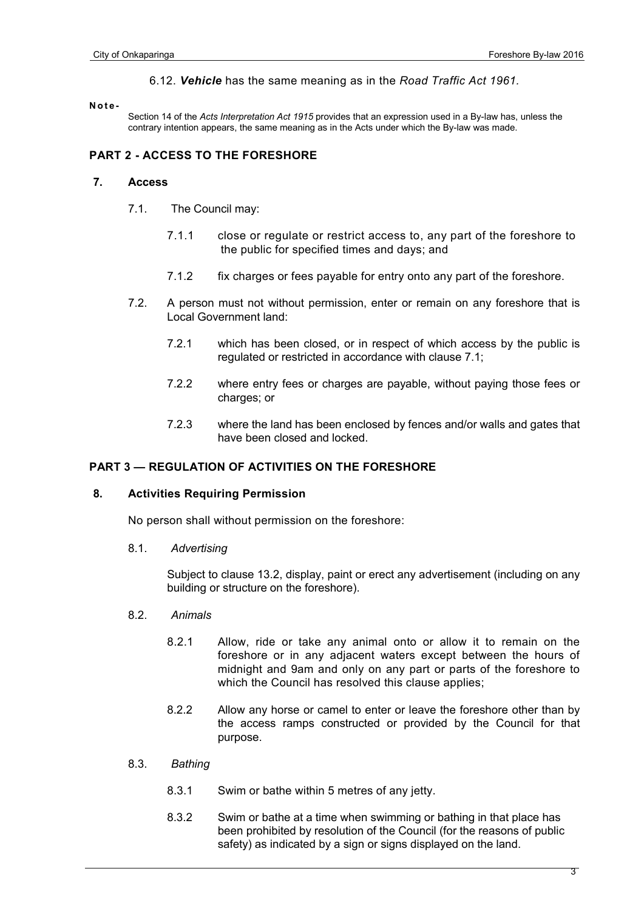#### 6.12. *Vehicle* has the same meaning as in the *Road Traffic Act 1961.*

#### **Note -**

Section 14 of the *Acts Interpretation Act 1915* provides that an expression used in a By-law has, unless the contrary intention appears, the same meaning as in the Acts under which the By-law was made.

# **PART 2 - ACCESS TO THE FORESHORE**

#### **7. Access**

- 7.1. The Council may:
	- 7.1.1 close or regulate or restrict access to, any part of the foreshore to the public for specified times and days; and
	- 7.1.2 fix charges or fees payable for entry onto any part of the foreshore.
- 7.2. A person must not without permission, enter or remain on any foreshore that is Local Government land:
	- 7.2.1 which has been closed, or in respect of which access by the public is regulated or restricted in accordance with clause 7.1;
	- 7.2.2 where entry fees or charges are payable, without paying those fees or charges; or
	- 7.2.3 where the land has been enclosed by fences and/or walls and gates that have been closed and locked.

# **PART 3 — REGULATION OF ACTIVITIES ON THE FORESHORE**

#### **8. Activities Requiring Permission**

No person shall without permission on the foreshore:

8.1. *Advertising*

Subject to clause 13.2, display, paint or erect any advertisement (including on any building or structure on the foreshore).

#### 8.2. *Animals*

- 8.2.1 Allow, ride or take any animal onto or allow it to remain on the foreshore or in any adjacent waters except between the hours of midnight and 9am and only on any part or parts of the foreshore to which the Council has resolved this clause applies;
- 8.2.2 Allow any horse or camel to enter or leave the foreshore other than by the access ramps constructed or provided by the Council for that purpose.
- 8.3. *Bathing*
	- 8.3.1 Swim or bathe within 5 metres of any jetty.
	- 8.3.2 Swim or bathe at a time when swimming or bathing in that place has been prohibited by resolution of the Council (for the reasons of public safety) as indicated by a sign or signs displayed on the land.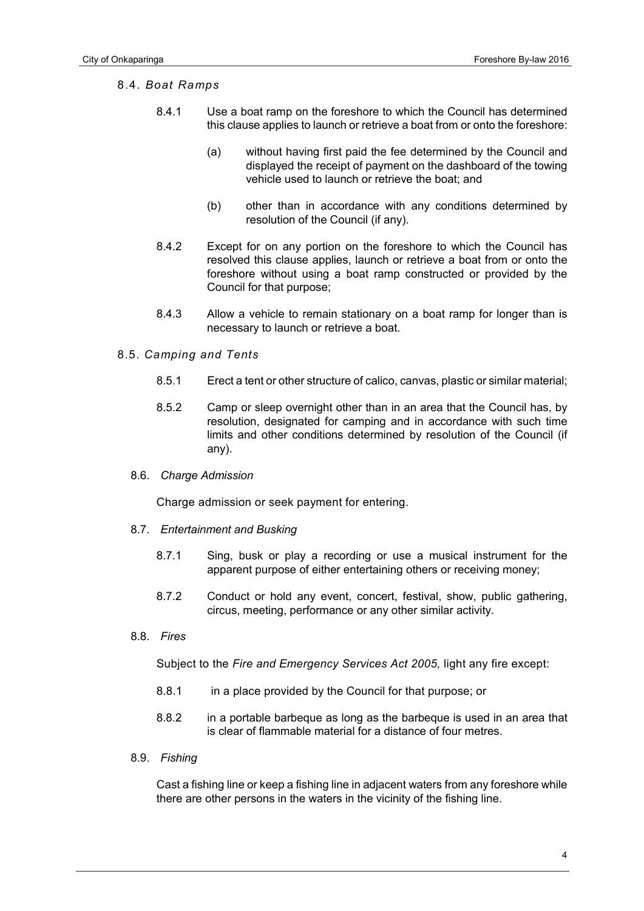# 8.4. *Boat Ramps*

- 8.4.1 Use a boat ramp on the foreshore to which the Council has determined this clause applies to launch or retrieve a boat from or onto the foreshore:
	- (a) without having first paid the fee determined by the Council and displayed the receipt of payment on the dashboard of the towing vehicle used to launch or retrieve the boat; and
	- (b) other than in accordance with any conditions determined by resolution of the Council (if any).
- 8.4.2 Except for on any portion on the foreshore to which the Council has resolved this clause applies, launch or retrieve a boat from or onto the foreshore without using a boat ramp constructed or provided by the Council for that purpose;
- 8.4.3 Allow a vehicle to remain stationary on a boat ramp for longer than is necessary to launch or retrieve a boat.

# 8.5. *Camping and Tents*

- 8.5.1 Erect a tent or other structure of calico, canvas, plastic or similar material;
- 8.5.2 Camp or sleep overnight other than in an area that the Council has, by resolution, designated for camping and in accordance with such time limits and other conditions determined by resolution of the Council (if any).
- 8.6. *Charge Admission*

Charge admission or seek payment for entering.

- 8.7. *Entertainment and Busking*
	- 8.7.1 Sing, busk or play a recording or use a musical instrument for the apparent purpose of either entertaining others or receiving money;
	- 8.7.2 Conduct or hold any event, concert, festival, show, public gathering, circus, meeting, performance or any other similar activity.
- 8.8. *Fires*

Subject to the *Fire and Emergency Services Act 2005,* light any fire except:

- 8.8.1 in a place provided by the Council for that purpose; or
- 8.8.2 in a portable barbeque as long as the barbeque is used in an area that is clear of flammable material for a distance of four metres.
- 8.9. *Fishing*

Cast a fishing line or keep a fishing line in adjacent waters from any foreshore while there are other persons in the waters in the vicinity of the fishing line.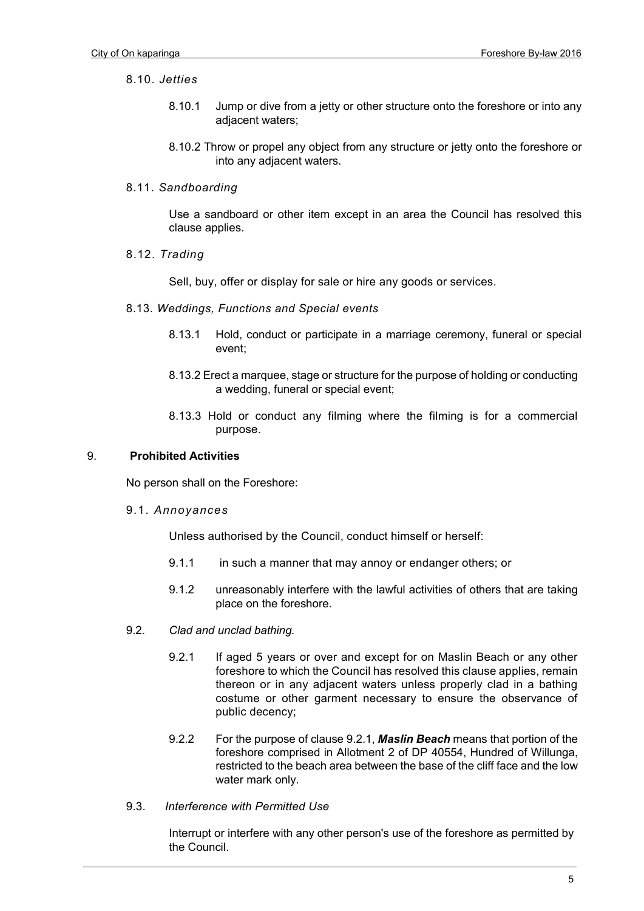# 8.10. *Jetties*

- 8.10.1 Jump or dive from a jetty or other structure onto the foreshore or into any adjacent waters;
- 8.10.2 Throw or propel any object from any structure or jetty onto the foreshore or into any adjacent waters.
- 8.11. *Sandboarding*

Use a sandboard or other item except in an area the Council has resolved this clause applies.

8.12. *Trading*

Sell, buy, offer or display for sale or hire any goods or services.

- 8.13. *Weddings, Functions and Special events*
	- 8.13.1 Hold, conduct or participate in a marriage ceremony, funeral or special event;
	- 8.13.2 Erect a marquee, stage or structure for the purpose of holding or conducting a wedding, funeral or special event;
	- 8.13.3 Hold or conduct any filming where the filming is for a commercial purpose.

# 9. **Prohibited Activities**

No person shall on the Foreshore:

# 9.1. *Annoyances*

Unless authorised by the Council, conduct himself or herself:

- 9.1.1 in such a manner that may annoy or endanger others; or
- 9.1.2 unreasonably interfere with the lawful activities of others that are taking place on the foreshore.
- 9.2. *Clad and unclad bathing.*
	- 9.2.1 If aged 5 years or over and except for on Maslin Beach or any other foreshore to which the Council has resolved this clause applies, remain thereon or in any adjacent waters unless properly clad in a bathing costume or other garment necessary to ensure the observance of public decency;
	- 9.2.2 For the purpose of clause 9.2.1, *Maslin Beach* means that portion of the foreshore comprised in Allotment 2 of DP 40554, Hundred of Willunga, restricted to the beach area between the base of the cliff face and the low water mark only.
- 9.3. *Interference with Permitted Use*

Interrupt or interfere with any other person's use of the foreshore as permitted by the Council.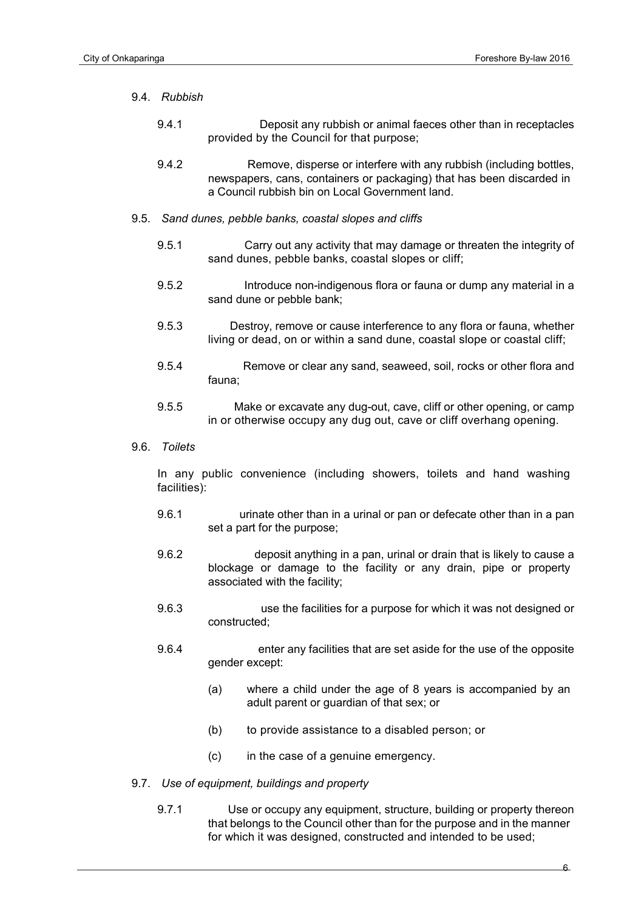#### 9.4. *Rubbish*

- 9.4.1 Deposit any rubbish or animal faeces other than in receptacles provided by the Council for that purpose;
- 9.4.2 Remove, disperse or interfere with any rubbish (including bottles, newspapers, cans, containers or packaging) that has been discarded in a Council rubbish bin on Local Government land.
- 9.5. *Sand dunes, pebble banks, coastal slopes and cliffs*
	- 9.5.1 Carry out any activity that may damage or threaten the integrity of sand dunes, pebble banks, coastal slopes or cliff;
	- 9.5.2 Introduce non-indigenous flora or fauna or dump any material in a sand dune or pebble bank;
	- 9.5.3 Destroy, remove or cause interference to any flora or fauna, whether living or dead, on or within a sand dune, coastal slope or coastal cliff;
	- 9.5.4 Remove or clear any sand, seaweed, soil, rocks or other flora and fauna;
	- 9.5.5 Make or excavate any dug-out, cave, cliff or other opening, or camp in or otherwise occupy any dug out, cave or cliff overhang opening.
- 9.6. *Toilets*

In any public convenience (including showers, toilets and hand washing facilities):

- 9.6.1 urinate other than in a urinal or pan or defecate other than in a pan set a part for the purpose;
- 9.6.2 deposit anything in a pan, urinal or drain that is likely to cause a blockage or damage to the facility or any drain, pipe or property associated with the facility;
- 9.6.3 use the facilities for a purpose for which it was not designed or constructed;
- 9.6.4 enter any facilities that are set aside for the use of the opposite gender except:
	- (a) where a child under the age of 8 years is accompanied by an adult parent or guardian of that sex; or
	- (b) to provide assistance to a disabled person; or
	- (c) in the case of a genuine emergency.
- 9.7. *Use of equipment, buildings and property*
	- 9.7.1 Use or occupy any equipment, structure, building or property thereon that belongs to the Council other than for the purpose and in the manner for which it was designed, constructed and intended to be used;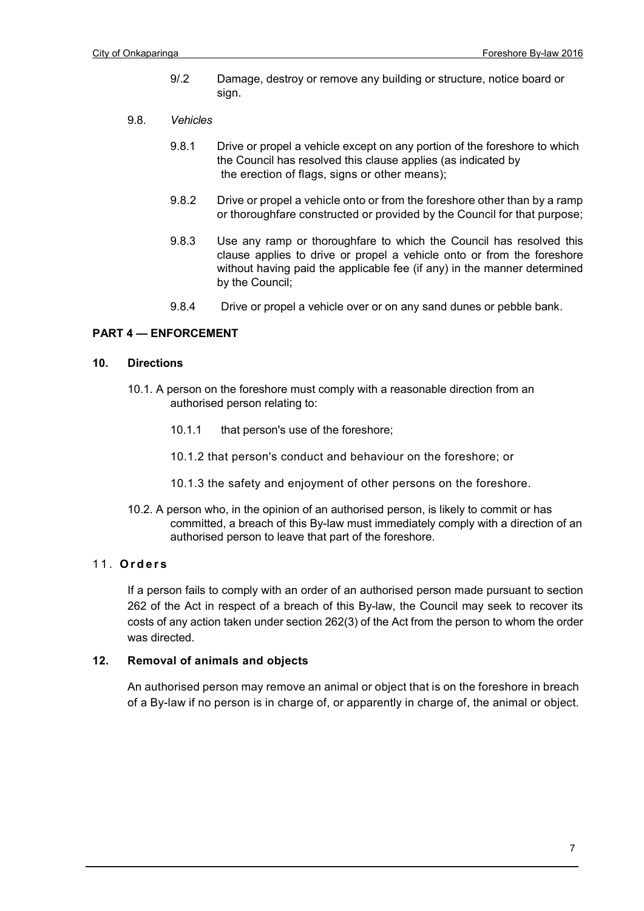- 9/.2 Damage, destroy or remove any building or structure, notice board or sign.
- 9.8. *Vehicles*
	- 9.8.1 Drive or propel a vehicle except on any portion of the foreshore to which the Council has resolved this clause applies (as indicated by the erection of flags, signs or other means);
	- 9.8.2 Drive or propel a vehicle onto or from the foreshore other than by a ramp or thoroughfare constructed or provided by the Council for that purpose;
	- 9.8.3 Use any ramp or thoroughfare to which the Council has resolved this clause applies to drive or propel a vehicle onto or from the foreshore without having paid the applicable fee (if any) in the manner determined by the Council;
	- 9.8.4 Drive or propel a vehicle over or on any sand dunes or pebble bank.

# **PART 4 — ENFORCEMENT**

#### **10. Directions**

- 10.1. A person on the foreshore must comply with a reasonable direction from an authorised person relating to:
	- 10.1.1 that person's use of the foreshore;
	- 10.1.2 that person's conduct and behaviour on the foreshore; or
	- 10.1.3 the safety and enjoyment of other persons on the foreshore.
- 10.2. A person who, in the opinion of an authorised person, is likely to commit or has committed, a breach of this By-law must immediately comply with a direction of an authorised person to leave that part of the foreshore.

# 11. **Orders**

If a person fails to comply with an order of an authorised person made pursuant to section 262 of the Act in respect of a breach of this By-law, the Council may seek to recover its costs of any action taken under section 262(3) of the Act from the person to whom the order was directed.

# **12. Removal of animals and objects**

An authorised person may remove an animal or object that is on the foreshore in breach of a By-law if no person is in charge of, or apparently in charge of, the animal or object.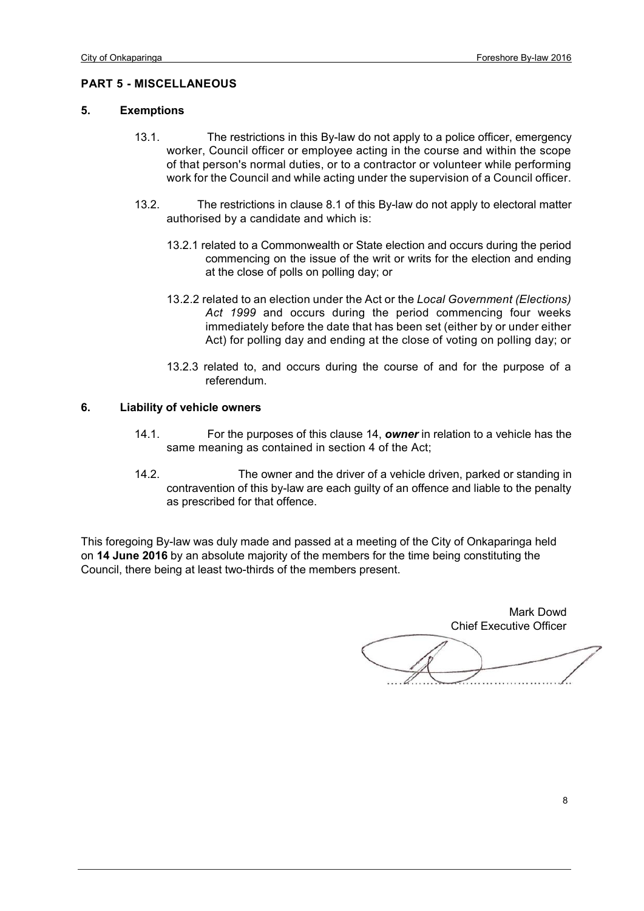#### **PART 5 - MISCELLANEOUS**

#### **5. Exemptions**

- 13.1. The restrictions in this By-law do not apply to a police officer, emergency worker, Council officer or employee acting in the course and within the scope of that person's normal duties, or to a contractor or volunteer while performing work for the Council and while acting under the supervision of a Council officer.
- 13.2. The restrictions in clause 8.1 of this By-law do not apply to electoral matter authorised by a candidate and which is:
	- 13.2.1 related to a Commonwealth or State election and occurs during the period commencing on the issue of the writ or writs for the election and ending at the close of polls on polling day; or
	- 13.2.2 related to an election under the Act or the *Local Government (Elections) Act 1999* and occurs during the period commencing four weeks immediately before the date that has been set (either by or under either Act) for polling day and ending at the close of voting on polling day; or
	- 13.2.3 related to, and occurs during the course of and for the purpose of a referendum.

#### **6. Liability of vehicle owners**

- 14.1. For the purposes of this clause 14, *owner* in relation to a vehicle has the same meaning as contained in section 4 of the Act;
- 14.2. The owner and the driver of a vehicle driven, parked or standing in contravention of this by-law are each guilty of an offence and liable to the penalty as prescribed for that offence.

This foregoing By-law was duly made and passed at a meeting of the City of Onkaparinga held on **14 June 2016** by an absolute majority of the members for the time being constituting the Council, there being at least two-thirds of the members present.

Mark Dowd Chief Executive Officer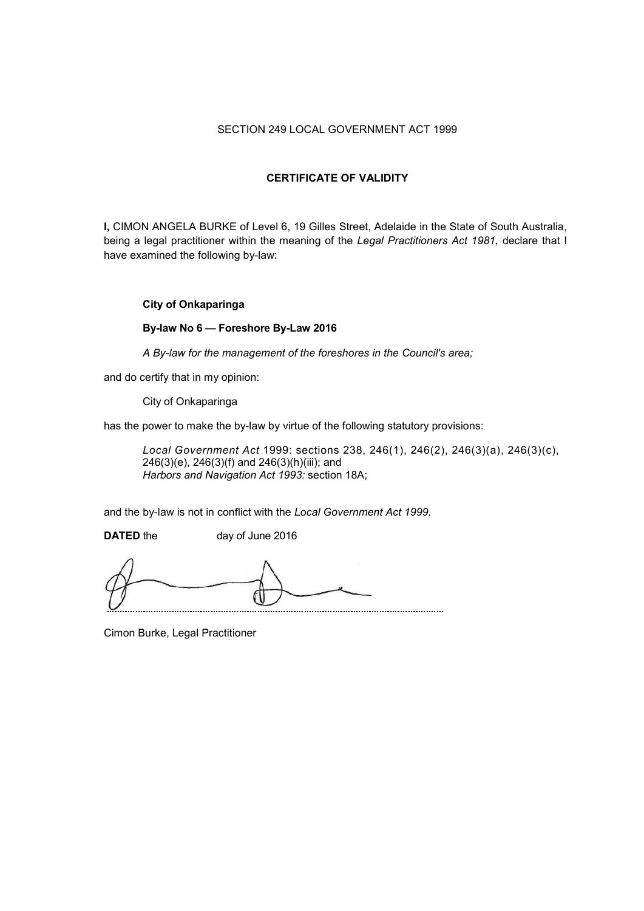# SECTION 249 LOCAL GOVERNMENT ACT 1999

### **CERTIFICATE OF VALIDITY**

**I,** CIMON ANGELA BURKE of Level 6, 19 Gilles Street, Adelaide in the State of South Australia, being a legal practitioner within the meaning of the *Legal Practitioners Act 1981,* declare that I have examined the following by-law:

## **City of Onkaparinga**

## **By-law No 6 — Foreshore By-Law 2016**

*A By-law for the management of the foreshores in the Council's area;*

and do certify that in my opinion:

City of Onkaparinga

has the power to make the by-law by virtue of the following statutory provisions:

*Local Government Act* 1999: sections 238, 246(1), 246(2), 246(3)(a), 246(3)(c), 246(3)(e), 246(3)(f) and 246(3)(h)(iii); and *Harbors and Navigation Act 1993:* section 18A;

and the by-law is not in conflict with the *Local Government Act 1999.*

**DATED** the day of June 2016

Cimon Burke, Legal Practitioner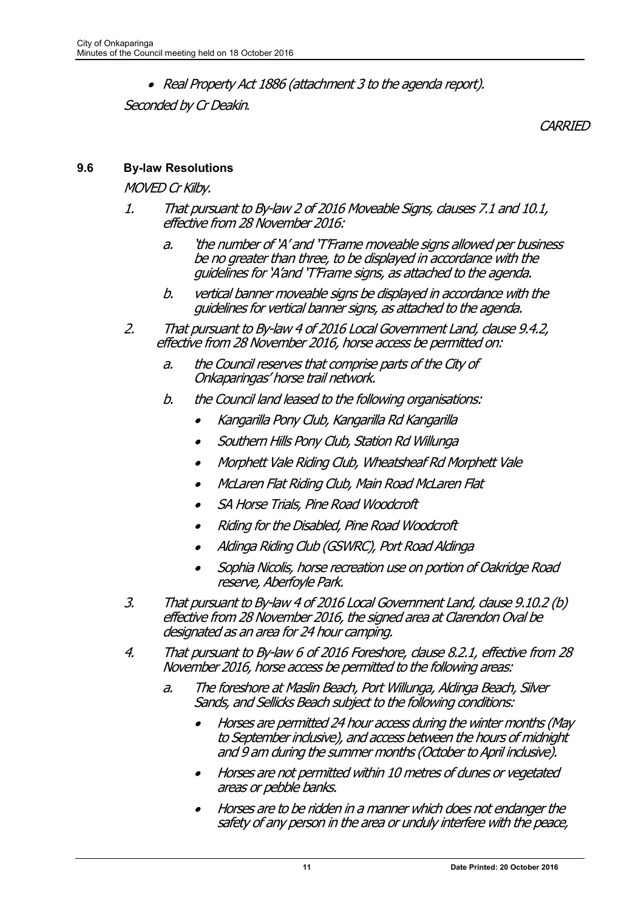• Real Property Act 1886 (attachment 3 to the agenda report).

Seconded by Cr Deakin.

**CARRIED** 

# **9.6 By-law Resolutions**

MOVED Cr Kilby.

- 1. That pursuant to By-law 2 of 2016 Moveable Signs, clauses 7.1 and 10.1, effective from 28 November 2016:
	- a. 'the number of 'A' and 'T'Frame moveable signs allowed per business be no greater than three, to be displayed in accordance with the guidelines for 'A'and 'T'Frame signs, as attached to the agenda.
	- b. vertical banner moveable signs be displayed in accordance with the guidelines for vertical banner signs, as attached to the agenda.
- 2. That pursuant to By-law 4 of 2016 Local Government Land, clause 9.4.2, effective from 28 November 2016, horse access be permitted on:
	- a. the Council reserves that comprise parts of the City of Onkaparingas' horse trail network.
	- b. the Council land leased to the following organisations:
		- •Kangarilla Pony Club, Kangarilla Rd Kangarilla
		- •Southern Hills Pony Club, Station Rd Willunga
		- •Morphett Vale Riding Club, Wheatsheaf Rd Morphett Vale
		- •McLaren Flat Riding Club, Main Road McLaren Flat
		- •SA Horse Trials, Pine Road Woodcroft
		- •Riding for the Disabled, Pine Road Woodcroft
		- •Aldinga Riding Club (GSWRC), Port Road Aldinga
		- • Sophia Nicolis, horse recreation use on portion of Oakridge Road reserve, Aberfoyle Park.
- 3. That pursuant to By-law 4 of 2016 Local Government Land, clause 9.10.2 (b) effective from 28 November 2016, the signed area at Clarendon Oval be designated as an area for 24 hour camping.
- 4. That pursuant to By-law 6 of 2016 Foreshore, clause 8.2.1, effective from 28 November 2016, horse access be permitted to the following areas:
	- a. The foreshore at Maslin Beach, Port Willunga, Aldinga Beach, Silver Sands, and Sellicks Beach subject to the following conditions:
		- • Horses are permitted 24 hour access during the winter months (May to September inclusive), and access between the hours of midnight and 9 am during the summer months (October to April inclusive).
		- • Horses are not permitted within 10 metres of dunes or vegetated areas or pebble banks.
		- • Horses are to be ridden in a manner which does not endanger the safety of any person in the area or unduly interfere with the peace,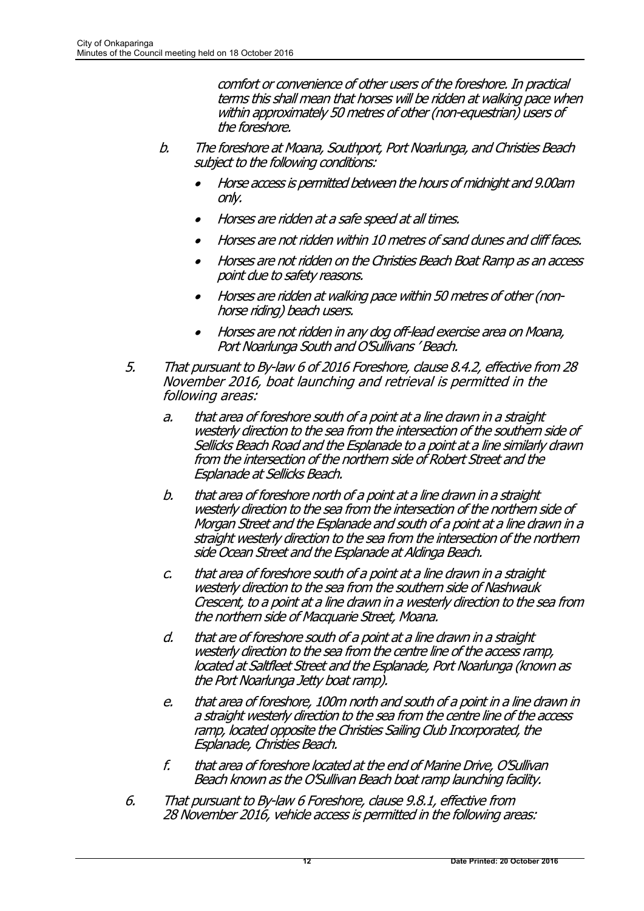comfort or convenience of other users of the foreshore. In practical terms this shall mean that horses will be ridden at walking pace when within approximately 50 metres of other (non-equestrian) users of the foreshore.

- b. The foreshore at Moana, Southport, Port Noarlunga, and Christies Beach subject to the following conditions:
	- • Horse access is permitted between the hours of midnight and 9.00am only.
	- •Horses are ridden at a safe speed at all times.
	- •Horses are not ridden within 10 metres of sand dunes and cliff faces.
	- • Horses are not ridden on the Christies Beach Boat Ramp as an access point due to safety reasons.
	- • Horses are ridden at walking pace within 50 metres of other (nonhorse riding) beach users.
	- • Horses are not ridden in any dog off-lead exercise area on Moana, Port Noarlunga South and O'Sullivans ' Beach.
- 5. That pursuant to By-law 6 of 2016 Foreshore, clause 8.4.2, effective from 28 November 2016, boat launching and retrieval is permitted in the following areas:
	- a. that area of foreshore south of a point at a line drawn in a straight westerly direction to the sea from the intersection of the southern side of Sellicks Beach Road and the Esplanade to a point at a line similarly drawn from the intersection of the northern side of Robert Street and the Esplanade at Sellicks Beach.
	- b. that area of foreshore north of a point at a line drawn in a straight westerly direction to the sea from the intersection of the northern side of Morgan Street and the Esplanade and south of a point at a line drawn in a straight westerly direction to the sea from the intersection of the northern side Ocean Street and the Esplanade at Aldinga Beach.
	- c. that area of foreshore south of a point at a line drawn in a straight westerly direction to the sea from the southern side of Nashwauk Crescent, to a point at a line drawn in a westerly direction to the sea from the northern side of Macquarie Street, Moana.
	- d. that are of foreshore south of a point at a line drawn in a straight westerly direction to the sea from the centre line of the access ramp, located at Saltfleet Street and the Esplanade, Port Noarlunga (known as the Port Noarlunga Jetty boat ramp).
	- e. that area of foreshore, 100m north and south of a point in a line drawn in a straight westerly direction to the sea from the centre line of the access ramp, located opposite the Christies Sailing Club Incorporated, the Esplanade, Christies Beach.
	- f. that area of foreshore located at the end of Marine Drive, O'Sullivan Beach known as the O'Sullivan Beach boat ramp launching facility.
- 6. That pursuant to By-law 6 Foreshore, clause 9.8.1, effective from 28 November 2016, vehicle access is permitted in the following areas: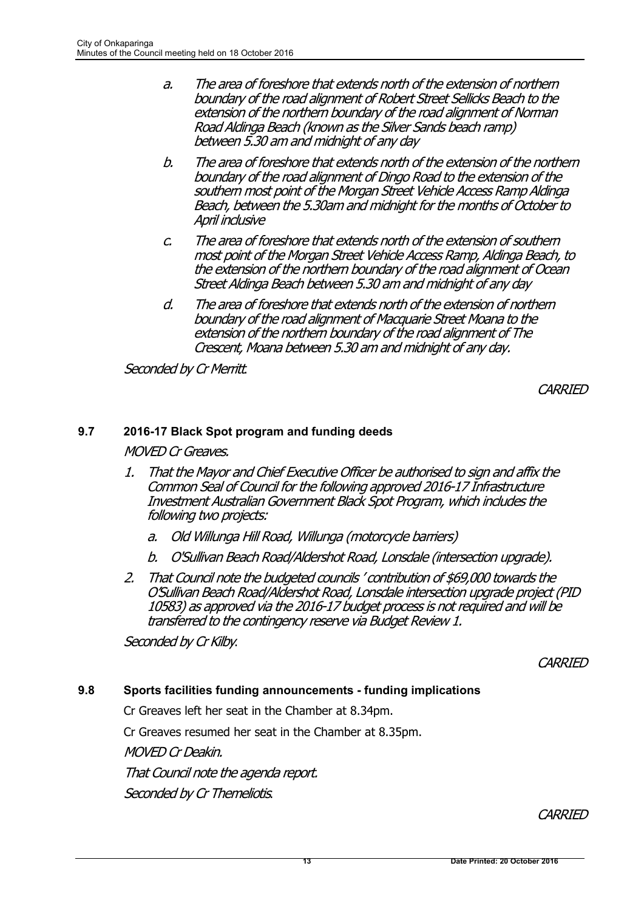- a. The area of foreshore that extends north of the extension of northern boundary of the road alignment of Robert Street Sellicks Beach to the extension of the northern boundary of the road alignment of Norman Road Aldinga Beach (known as the Silver Sands beach ramp) between 5.30 am and midnight of any day
- b. The area of foreshore that extends north of the extension of the northern boundary of the road alignment of Dingo Road to the extension of the southern most point of the Morgan Street Vehicle Access Ramp Aldinga Beach, between the 5.30am and midnight for the months of October to April inclusive
- c. The area of foreshore that extends north of the extension of southern most point of the Morgan Street Vehicle Access Ramp, Aldinga Beach, to the extension of the northern boundary of the road alignment of Ocean Street Aldinga Beach between 5.30 am and midnight of any day
- d. The area of foreshore that extends north of the extension of northern boundary of the road alignment of Macquarie Street Moana to the extension of the northern boundary of the road alignment of The Crescent, Moana between 5.30 am and midnight of any day.

Seconded by Cr Merritt.

**CARRIED** 

# **9.7 2016-17 Black Spot program and funding deeds**

MOVED Cr Greaves.

- 1. That the Mayor and Chief Executive Officer be authorised to sign and affix the Common Seal of Council for the following approved 2016-17 Infrastructure Investment Australian Government Black Spot Program, which includes the following two projects:
	- a. Old Willunga Hill Road, Willunga (motorcycle barriers)
	- b. O'Sullivan Beach Road/Aldershot Road, Lonsdale (intersection upgrade).
- 2. That Council note the budgeted councils ' contribution of \$69,000 towards the O'Sullivan Beach Road/Aldershot Road, Lonsdale intersection upgrade project (PID 10583) as approved via the 2016-17 budget process is not required and will be transferred to the contingency reserve via Budget Review 1.

Seconded by Cr Kilby.

**CARRIED** 

# **9.8 Sports facilities funding announcements - funding implications**

Cr Greaves left her seat in the Chamber at 8.34pm.

Cr Greaves resumed her seat in the Chamber at 8.35pm.

MOVED Cr Deakin.

That Council note the agenda report.

Seconded by Cr Themeliotis.

**CARRIED**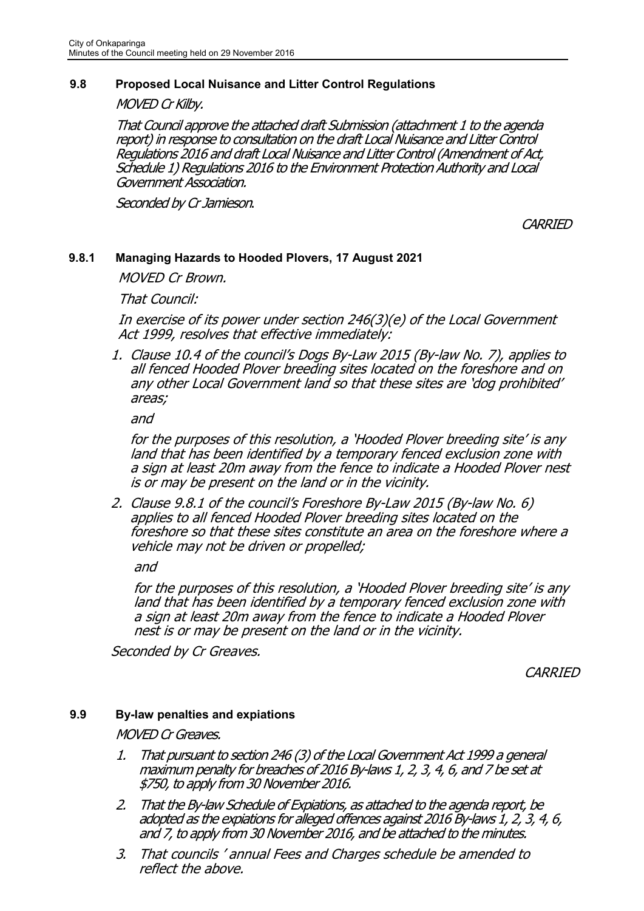# **9.8 Proposed Local Nuisance and Litter Control Regulations**

MOVED Cr Kilby.

That Council approve the attached draft Submission (attachment 1 to the agenda report) in response to consultation on the draft Local Nuisance and Litter Control Regulations 2016 and draft Local Nuisance and Litter Control (Amendment of Act, Schedule 1) Regulations 2016 to the Environment Protection Authority and Local Government Association.

Seconded by Cr Jamieson.

**CARRIED** 

# **9.8.1 Managing Hazards to Hooded Plovers, 17 August 2021**

MOVED Cr Brown.

That Council:

In exercise of its power under section 246(3)(e) of the Local Government Act 1999, resolves that effective immediately:

1. Clause 10.4 of the council's Dogs By-Law 2015 (By-law No. 7), applies to all fenced Hooded Plover breeding sites located on the foreshore and on any other Local Government land so that these sites are 'dog prohibited' areas;

and

for the purposes of this resolution, a 'Hooded Plover breeding site' is any land that has been identified by a temporary fenced exclusion zone with a sign at least 20m away from the fence to indicate a Hooded Plover nest is or may be present on the land or in the vicinity.

2. Clause 9.8.1 of the council's Foreshore By-Law 2015 (By-law No. 6) applies to all fenced Hooded Plover breeding sites located on the foreshore so that these sites constitute an area on the foreshore where a vehicle may not be driven or propelled;

and

for the purposes of this resolution, a 'Hooded Plover breeding site' is any land that has been identified by a temporary fenced exclusion zone with a sign at least 20m away from the fence to indicate a Hooded Plover nest is or may be present on the land or in the vicinity.

Seconded by Cr Greaves.

**CARRIED** 

# **9.9 By-law penalties and expiations**

MOVED Cr Greaves.

- 1. That pursuant to section 246 (3) of the Local Government Act 1999 a general maximum penalty for breaches of 2016 By-laws 1, 2, 3, 4, 6, and 7 be set at \$750, to apply from 30 November 2016.
- 2. That the By-law Schedule of Expiations, as attached to the agenda report, be adopted as the expiations for alleged offences against 2016 By-laws 1, 2, 3, 4, 6, and 7, to apply from 30 November 2016, and be attached to the minutes.
- 3. That councils ' annual Fees and Charges schedule be amended to reflect the above.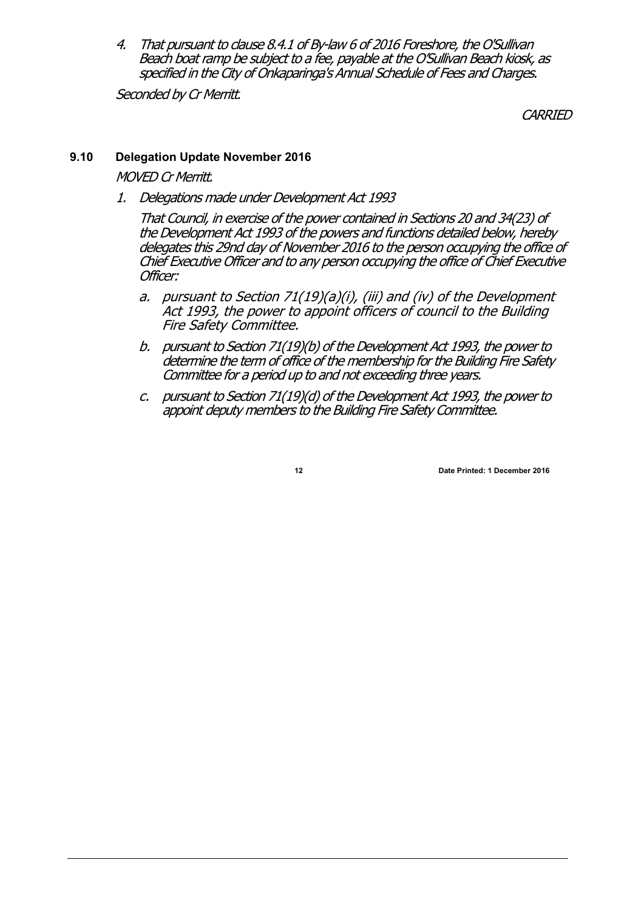4. That pursuant to clause 8.4.1 of By-law 6 of 2016 Foreshore, the O'Sullivan Beach boat ramp be subject to a fee, payable at the O'Sullivan Beach kiosk, as specified in the City of Onkaparinga's Annual Schedule of Fees and Charges.

Seconded by Cr Merritt.

**CARRIED** 

# **9.10 Delegation Update November 2016**

MOVED Cr Merritt.

1. Delegations made under Development Act 1993

That Council, in exercise of the power contained in Sections 20 and 34(23) of the Development Act 1993 of the powers and functions detailed below, hereby delegates this 29nd day of November 2016 to the person occupying the office of Chief Executive Officer and to any person occupying the office of Chief Executive Officer:

- a. pursuant to Section 71(19)(a)(i), (iii) and (iv) of the Development Act 1993, the power to appoint officers of council to the Building Fire Safety Committee.
- b. pursuant to Section 71(19)(b) of the Development Act 1993, the power to determine the term of office of the membership for the Building Fire Safety Committee for a period up to and not exceeding three years.
- c. pursuant to Section 71(19)(d) of the Development Act 1993, the power to appoint deputy members to the Building Fire Safety Committee.

**12 Date Printed: 1 December 2016**